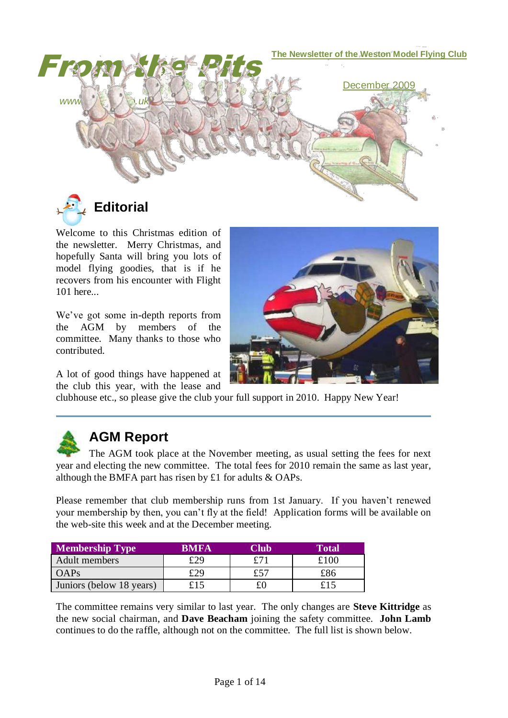

**Editorial**

Welcome to this Christmas edition of the newsletter. Merry Christmas, and hopefully Santa will bring you lots of model flying goodies, that is if he recovers from his encounter with Flight 101 here...

We've got some in-depth reports from the AGM by members of the committee. Many thanks to those who contributed.

A lot of good things have happened at the club this year, with the lease and



clubhouse etc., so please give the club your full support in 2010. Happy New Year!



## **AGM Report**

The AGM took place at the November meeting, as usual setting the fees for next year and electing the new committee. The total fees for 2010 remain the same as last year, although the BMFA part has risen by £1 for adults & OAPs.

Please remember that club membership runs from 1st January. If you haven't renewed your membership by then, you can't fly at the field! Application forms will be available on the web-site this week and at the December meeting.

| <b>Membership Type</b>   | <b>BMFA</b> | Club | Total |
|--------------------------|-------------|------|-------|
| Adult members            | £29         |      | £100  |
| OAPs                     | £29         | £57  | £86   |
| Juniors (below 18 years) | £15         | £0   | £15   |

The committee remains very similar to last year. The only changes are **Steve Kittridge** as the new social chairman, and **Dave Beacham** joining the safety committee. **John Lamb** continues to do the raffle, although not on the committee. The full list is shown below.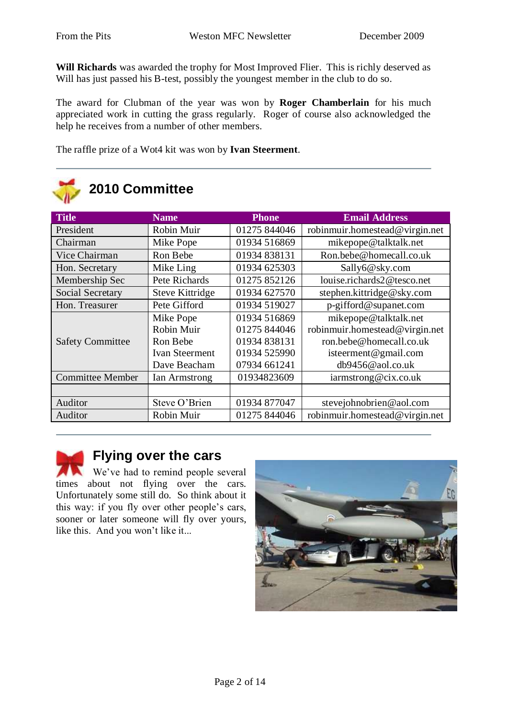**Will Richards** was awarded the trophy for Most Improved Flier. This is richly deserved as Will has just passed his B-test, possibly the youngest member in the club to do so.

The award for Clubman of the year was won by **Roger Chamberlain** for his much appreciated work in cutting the grass regularly. Roger of course also acknowledged the help he receives from a number of other members.

The raffle prize of a Wot4 kit was won by **Ivan Steerment**.

| 2010 Committee          |                        |              |                                |  |
|-------------------------|------------------------|--------------|--------------------------------|--|
| <b>Title</b>            | <b>Name</b>            | <b>Phone</b> | <b>Email Address</b>           |  |
| President               | Robin Muir             | 01275 844046 | robinmuir.homestead@virgin.net |  |
| Chairman                | Mike Pope              | 01934 516869 | mikepope@talktalk.net          |  |
| Vice Chairman           | Ron Bebe               | 01934 838131 | Ron.bebe@homecall.co.uk        |  |
| Hon. Secretary          | Mike Ling              | 01934 625303 | Sally6@sky.com                 |  |
| Membership Sec          | Pete Richards          | 01275 852126 | louise.richards2@tesco.net     |  |
| <b>Social Secretary</b> | <b>Steve Kittridge</b> | 01934 627570 | stephen.kittridge@sky.com      |  |
| Hon. Treasurer          | Pete Gifford           | 01934 519027 | p-gifford@supanet.com          |  |
|                         | Mike Pope              | 01934 516869 | mikepope@talktalk.net          |  |
|                         | Robin Muir             | 01275 844046 | robinmuir.homestead@virgin.net |  |
| <b>Safety Committee</b> | Ron Bebe               | 01934 838131 | ron.bebe@homecall.co.uk        |  |
|                         | <b>Ivan Steerment</b>  | 01934 525990 | isteerment@gmail.com           |  |
|                         | Dave Beacham           | 07934 661241 | db9456@aol.co.uk               |  |
| <b>Committee Member</b> | Ian Armstrong          | 01934823609  | iarmstrong@cix.co.uk           |  |
|                         |                        |              |                                |  |
| Auditor                 | Steve O'Brien          | 01934 877047 | stevejohnobrien@aol.com        |  |
| Auditor                 | Robin Muir             | 01275 844046 | robinmuir.homestead@virgin.net |  |

## **Flying over the cars**

We've had to remind people several times about not flying over the cars. Unfortunately some still do. So think about it this way: if you fly over other people's cars, sooner or later someone will fly over yours, like this. And you won't like it...

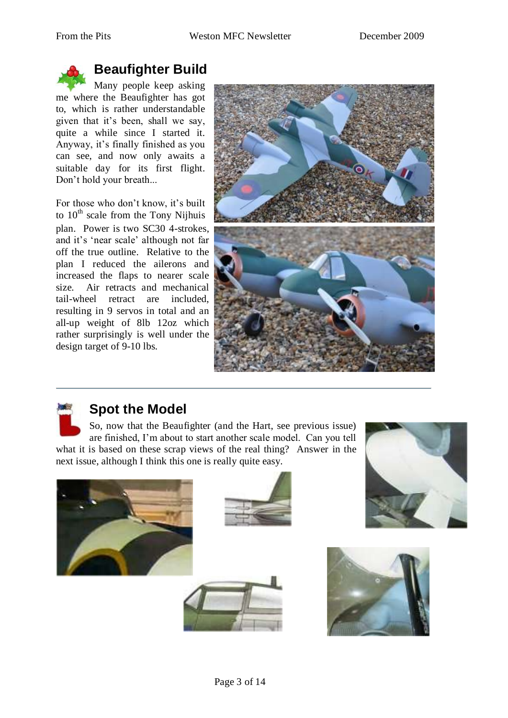

# **Beaufighter Build**

Many people keep asking me where the Beaufighter has got to, which is rather understandable given that it's been, shall we say, quite a while since I started it. Anyway, it's finally finished as you can see, and now only awaits a suitable day for its first flight. Don't hold your breath...

For those who don't know, it's built to  $10<sup>th</sup>$  scale from the Tony Nijhuis plan. Power is two SC30 4-strokes, and it's 'near scale' although not far off the true outline. Relative to the plan I reduced the ailerons and increased the flaps to nearer scale size. Air retracts and mechanical tail-wheel retract are included, resulting in 9 servos in total and an all-up weight of 8lb 12oz which rather surprisingly is well under the design target of 9-10 lbs.





## **Spot the Model**

So, now that the Beaufighter (and the Hart, see previous issue) are finished, I'm about to start another scale model. Can you tell what it is based on these scrap views of the real thing? Answer in the next issue, although I think this one is really quite easy.









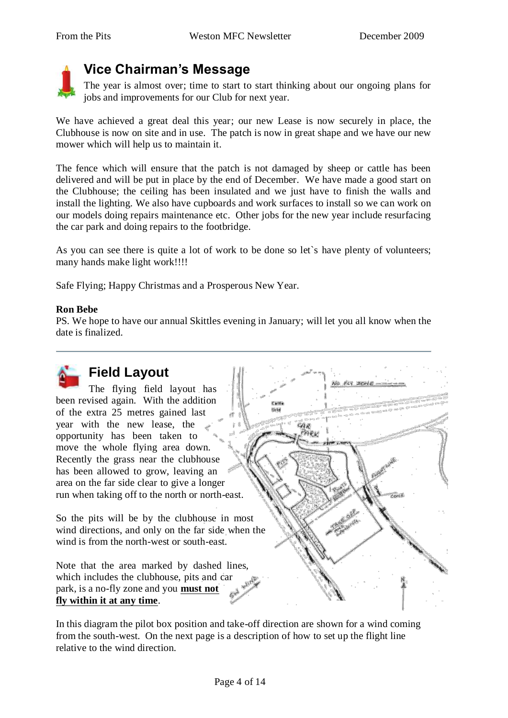

# **Vice Chairman's Message**

The year is almost over; time to start to start thinking about our ongoing plans for jobs and improvements for our Club for next year.

We have achieved a great deal this year; our new Lease is now securely in place, the Clubhouse is now on site and in use. The patch is now in great shape and we have our new mower which will help us to maintain it.

The fence which will ensure that the patch is not damaged by sheep or cattle has been delivered and will be put in place by the end of December. We have made a good start on the Clubhouse; the ceiling has been insulated and we just have to finish the walls and install the lighting. We also have cupboards and work surfaces to install so we can work on our models doing repairs maintenance etc. Other jobs for the new year include resurfacing the car park and doing repairs to the footbridge.

As you can see there is quite a lot of work to be done so let`s have plenty of volunteers; many hands make light work!!!!

Safe Flying; Happy Christmas and a Prosperous New Year.

#### **Ron Bebe**

PS. We hope to have our annual Skittles evening in January; will let you all know when the date is finalized.

> Cast tirid

> > GAR 9ek



## **Field Layout**

The flying field layout has been revised again. With the addition of the extra 25 metres gained last year with the new lease, the opportunity has been taken to move the whole flying area down. Recently the grass near the clubhouse has been allowed to grow, leaving an area on the far side clear to give a longer run when taking off to the north or north-east.

So the pits will be by the clubhouse in most wind directions, and only on the far side when the wind is from the north-west or south-east.

Note that the area marked by dashed lines, which includes the clubhouse, pits and car park, is a no-fly zone and you **must not fly within it at any time**.

In this diagram the pilot box position and take-off direction are shown for a wind coming from the south-west. On the next page is a description of how to set up the flight line relative to the wind direction.



No FLY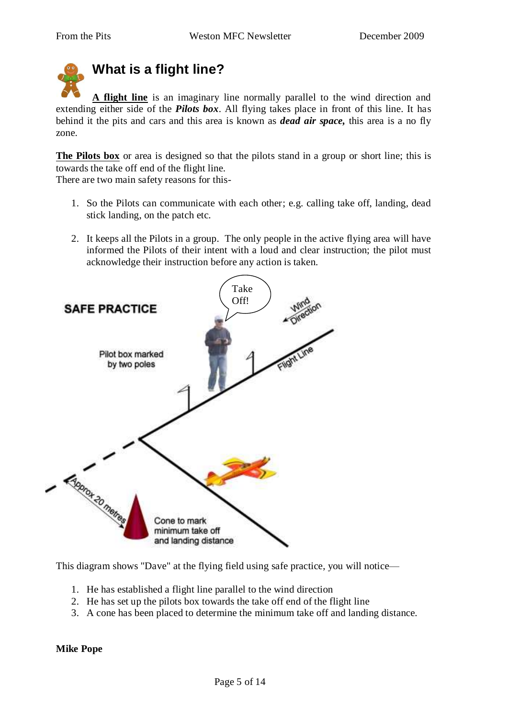# **What is a flight line?**

**A flight line** is an imaginary line normally parallel to the wind direction and extending either side of the *Pilots box*. All flying takes place in front of this line. It has behind it the pits and cars and this area is known as *dead air space,* this area is a no fly zone.

**The Pilots box** or area is designed so that the pilots stand in a group or short line; this is towards the take off end of the flight line.

There are two main safety reasons for this-

- 1. So the Pilots can communicate with each other; e.g. calling take off, landing, dead stick landing, on the patch etc.
- 2. It keeps all the Pilots in a group. The only people in the active flying area will have informed the Pilots of their intent with a loud and clear instruction; the pilot must acknowledge their instruction before any action is taken.



This diagram shows "Dave" at the flying field using safe practice, you will notice—

- 1. He has established a flight line parallel to the wind direction
- 2. He has set up the pilots box towards the take off end of the flight line
- 3. A cone has been placed to determine the minimum take off and landing distance.

## **Mike Pope**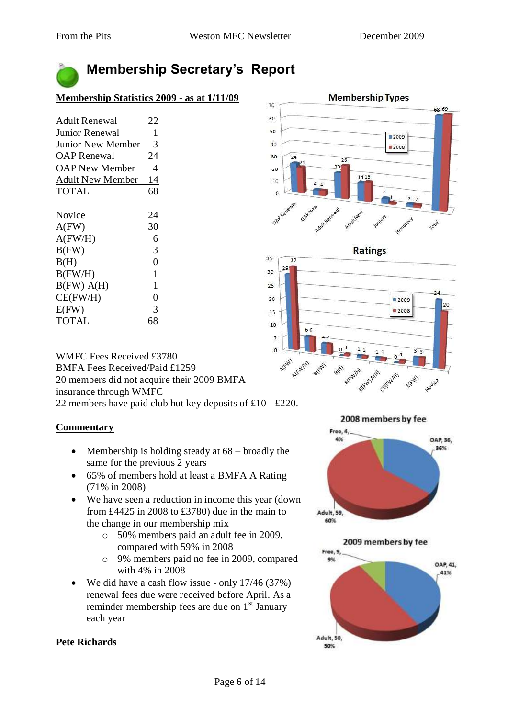# **Membership Secretary's Report**

## **Membership Statistics 2009 - as at 1/11/09**

| Adult Renewal           | 22             |
|-------------------------|----------------|
| Junior Renewal          | 1              |
| Junior New Member       | 3              |
| <b>OAP Renewal</b>      | 24             |
| OAP New Member          | 4              |
| <b>Adult New Member</b> | 14             |
| <b>TOTAL</b>            | 68             |
|                         |                |
| Novice                  | 24             |
| $A$ (FW)                | 30             |
| A(FW/H)                 | 6              |
| B(FW)                   | 3              |
| B(H)                    | 0              |
| B(FW/H)                 | 1              |
| B(FW) A(H)              | 1              |
| CE(FW/H)                | $\overline{0}$ |
| $E$ (FW)                | 3              |
| <b>TOTAL</b>            | 68             |

WMFC Fees Received £3780 BMFA Fees Received/Paid £1259 20 members did not acquire their 2009 BMFA insurance through WMFC 22 members have paid club hut key deposits of £10 - £220.

## **Commentary**

- Membership is holding steady at  $68$  broadly the same for the previous 2 years
- 65% of members hold at least a BMFA A Rating (71% in 2008)
- We have seen a reduction in income this year (down from £4425 in 2008 to £3780) due in the main to the change in our membership mix
	- o 50% members paid an adult fee in 2009, compared with 59% in 2008
	- o 9% members paid no fee in 2009, compared with 4% in 2008
- We did have a cash flow issue only 17/46 (37%) renewal fees due were received before April. As a reminder membership fees are due on  $1<sup>st</sup>$  January each year

#### **Membership Types** 70 68.69 60 50 2009 40 2008 30  $24$ 26  $20$ 1415 10  $44$  $\circ$ OAPH OAPO Total



2008 members by fee



2009 members by fee Free, 9.



## **Pete Richards**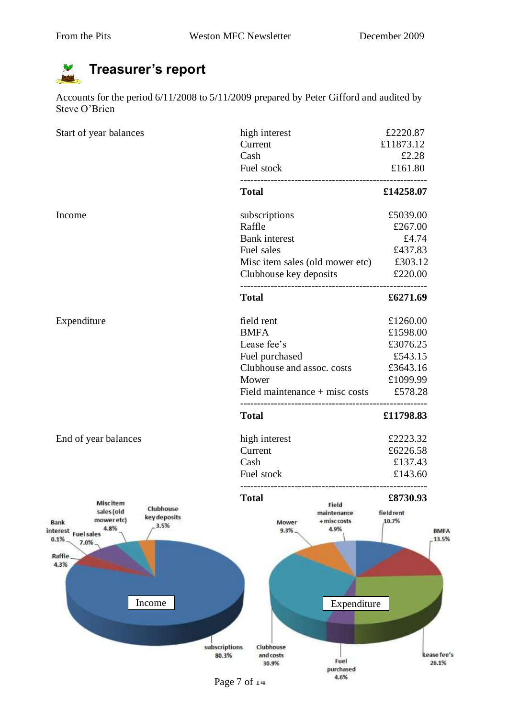#### **Treasurer's report**

Accounts for the period 6/11/2008 to 5/11/2009 prepared by Peter Gifford and audited by Steve O'Brien

| Start of year balances                                | high interest<br>Current                | £2220.87<br>£11873.12 |
|-------------------------------------------------------|-----------------------------------------|-----------------------|
|                                                       | Cash                                    | £2.28                 |
|                                                       | Fuel stock                              | £161.80               |
|                                                       | <b>Total</b>                            | £14258.07             |
| Income                                                | subscriptions                           | £5039.00              |
|                                                       | Raffle                                  | £267.00               |
|                                                       | <b>Bank</b> interest                    | £4.74                 |
|                                                       | Fuel sales                              | £437.83               |
|                                                       | Misc item sales (old mower etc) £303.12 |                       |
|                                                       | Clubhouse key deposits                  | £220.00               |
|                                                       | <b>Total</b>                            | £6271.69              |
| Expenditure                                           | field rent                              | £1260.00              |
|                                                       | <b>BMFA</b>                             | £1598.00              |
|                                                       | Lease fee's                             | £3076.25              |
|                                                       | Fuel purchased                          | £543.15               |
|                                                       | Clubhouse and assoc. costs              | £3643.16              |
|                                                       | Mower                                   | £1099.99              |
|                                                       | Field maintenance $+$ misc costs        | £578.28               |
|                                                       | <b>Total</b>                            | £11798.83             |
| End of year balances                                  | high interest                           | £2223.32              |
|                                                       | Current                                 | £6226.58              |
|                                                       | Cash                                    | £137.43               |
|                                                       | Fuel stock                              | £143.60               |
| <b>Miscitem</b>                                       | <b>Total</b>                            | £8730.93              |
| Clubhouse<br>sales (old<br>key deposits<br>mower etc) | Field<br>maintenance<br>+ misc costs    | field rent<br>10.7%   |
| Bank<br>3.5%<br>4.8%<br>interest<br><b>Fuel sales</b> | Mower<br>4.9%<br>9.3%                   | <b>BMFA</b>           |
| 0.1%<br>7.0%                                          |                                         | 13.5%                 |
| Raffle<br>4.3%                                        |                                         |                       |
|                                                       |                                         |                       |
|                                                       |                                         |                       |
| Income                                                | Expenditure                             |                       |
|                                                       |                                         |                       |
|                                                       |                                         |                       |
|                                                       | subscriptions<br>Clubhouse              |                       |
|                                                       | 80.3%<br>and costs<br>Fuel              | Lease fee's           |
|                                                       | 30.9%<br>purchased                      | 26.1%                 |
|                                                       | 4.6%<br>Page 7 of 14                    |                       |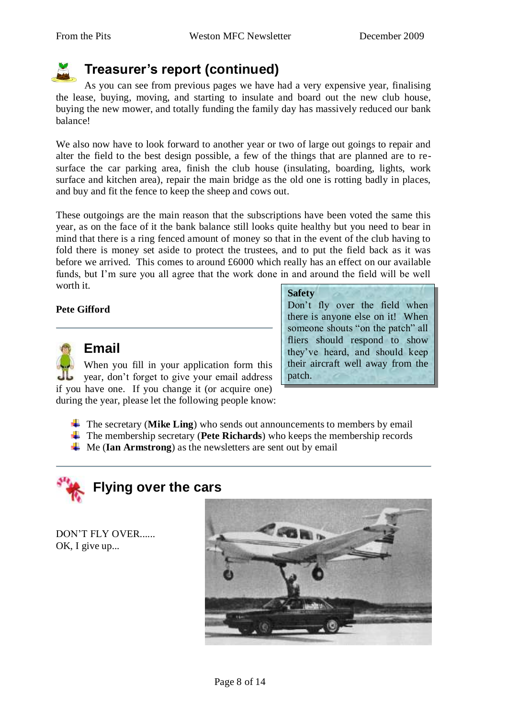

# **Treasurer's report (continued)**

As you can see from previous pages we have had a very expensive year, finalising the lease, buying, moving, and starting to insulate and board out the new club house, buying the new mower, and totally funding the family day has massively reduced our bank balance!

We also now have to look forward to another year or two of large out goings to repair and alter the field to the best design possible, a few of the things that are planned are to resurface the car parking area, finish the club house (insulating, boarding, lights, work surface and kitchen area), repair the main bridge as the old one is rotting badly in places, and buy and fit the fence to keep the sheep and cows out.

These outgoings are the main reason that the subscriptions have been voted the same this year, as on the face of it the bank balance still looks quite healthy but you need to bear in mind that there is a ring fenced amount of money so that in the event of the club having to fold there is money set aside to protect the trustees, and to put the field back as it was before we arrived. This comes to around £6000 which really has an effect on our available funds, but I'm sure you all agree that the work done in and around the field will be well worth it.

## **Pete Gifford**



## **Email**

When you fill in your application form this year, don't forget to give your email address if you have one. If you change it (or acquire one) during the year, please let the following people know:

Don't fly over the field when there is anyone else on it! When someone shouts "on the patch" all fliers should respond to show they've heard, and should keep their aircraft well away from the patch.

- $\frac{1}{\text{■}}$  The secretary (**Mike Ling**) who sends out announcements to members by email
- The membership secretary (**Pete Richards**) who keeps the membership records
- Me (**Ian Armstrong**) as the newsletters are sent out by email



DON'T FLY OVER...... OK, I give up...

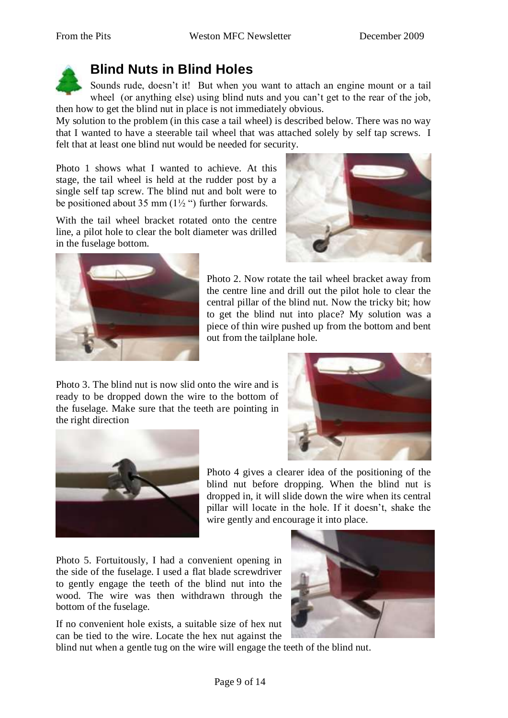

# **Blind Nuts in Blind Holes**

Sounds rude, doesn't it! But when you want to attach an engine mount or a tail wheel (or anything else) using blind nuts and you can't get to the rear of the job, then how to get the blind nut in place is not immediately obvious.

My solution to the problem (in this case a tail wheel) is described below. There was no way that I wanted to have a steerable tail wheel that was attached solely by self tap screws. I felt that at least one blind nut would be needed for security.

Photo 1 shows what I wanted to achieve. At this stage, the tail wheel is held at the rudder post by a single self tap screw. The blind nut and bolt were to be positioned about 35 mm  $(1\frac{1}{2})$  further forwards.

With the tail wheel bracket rotated onto the centre line, a pilot hole to clear the bolt diameter was drilled in the fuselage bottom.





Photo 2. Now rotate the tail wheel bracket away from the centre line and drill out the pilot hole to clear the central pillar of the blind nut. Now the tricky bit; how to get the blind nut into place? My solution was a piece of thin wire pushed up from the bottom and bent out from the tailplane hole.

Photo 3. The blind nut is now slid onto the wire and is ready to be dropped down the wire to the bottom of the fuselage. Make sure that the teeth are pointing in the right direction





Photo 4 gives a clearer idea of the positioning of the blind nut before dropping. When the blind nut is dropped in, it will slide down the wire when its central pillar will locate in the hole. If it doesn't, shake the wire gently and encourage it into place.

Photo 5. Fortuitously, I had a convenient opening in the side of the fuselage. I used a flat blade screwdriver to gently engage the teeth of the blind nut into the wood. The wire was then withdrawn through the bottom of the fuselage.

If no convenient hole exists, a suitable size of hex nut can be tied to the wire. Locate the hex nut against the

blind nut when a gentle tug on the wire will engage the teeth of the blind nut.

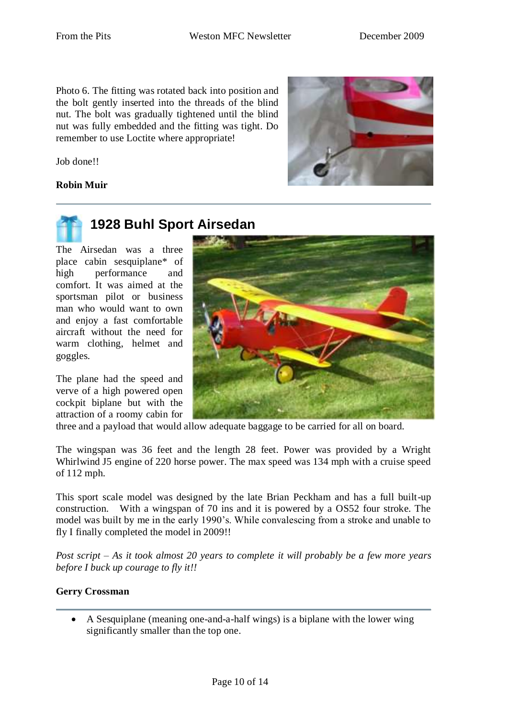Photo 6. The fitting was rotated back into position and the bolt gently inserted into the threads of the blind nut. The bolt was gradually tightened until the blind nut was fully embedded and the fitting was tight. Do remember to use Loctite where appropriate!

Job done!!

## **Robin Muir**



# **1928 Buhl Sport Airsedan**

The Airsedan was a three place cabin sesquiplane\* of high performance and comfort. It was aimed at the sportsman pilot or business man who would want to own and enjoy a fast comfortable aircraft without the need for warm clothing, helmet and goggles.

The plane had the speed and verve of a high powered open cockpit biplane but with the attraction of a roomy cabin for



three and a payload that would allow adequate baggage to be carried for all on board.

The wingspan was 36 feet and the length 28 feet. Power was provided by a Wright Whirlwind J5 engine of 220 horse power. The max speed was 134 mph with a cruise speed of 112 mph.

This sport scale model was designed by the late Brian Peckham and has a full built-up construction. With a wingspan of 70 ins and it is powered by a OS52 four stroke. The model was built by me in the early 1990's. While convalescing from a stroke and unable to fly I finally completed the model in 2009!!

*Post script – As it took almost 20 years to complete it will probably be a few more years before I buck up courage to fly it!!* 

## **Gerry Crossman**

 A Sesquiplane (meaning one-and-a-half wings) is a biplane with the lower wing significantly smaller than the top one.

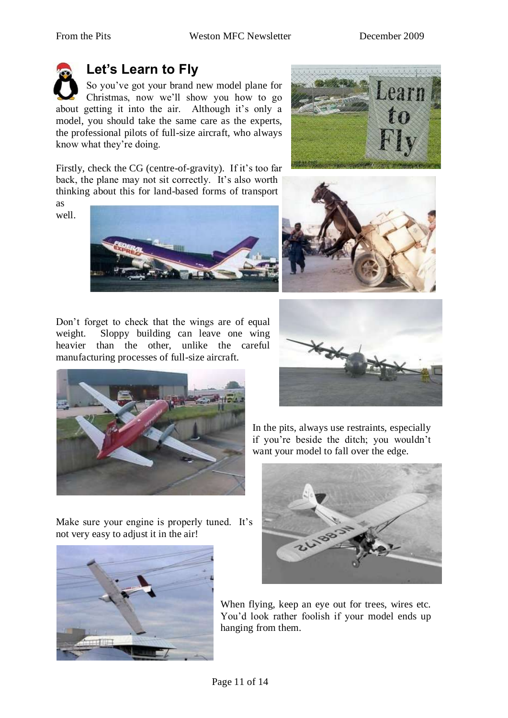# **Let's Learn to Fly**

So you've got your brand new model plane for Christmas, now we'll show you how to go about getting it into the air. Although it's only a model, you should take the same care as the experts, the professional pilots of full-size aircraft, who always know what they're doing.

Learn

Firstly, check the CG (centre-of-gravity). If it's too far back, the plane may not sit correctly. It's also worth thinking about this for land-based forms of transport as

well.



Don't forget to check that the wings are of equal weight. Sloppy building can leave one wing heavier than the other, unlike the careful manufacturing processes of full-size aircraft.



Make sure your engine is properly tuned. It's not very easy to adjust it in the air!







In the pits, always use restraints, especially if you're beside the ditch; you wouldn't want your model to fall over the edge.



When flying, keep an eye out for trees, wires etc. You'd look rather foolish if your model ends up hanging from them.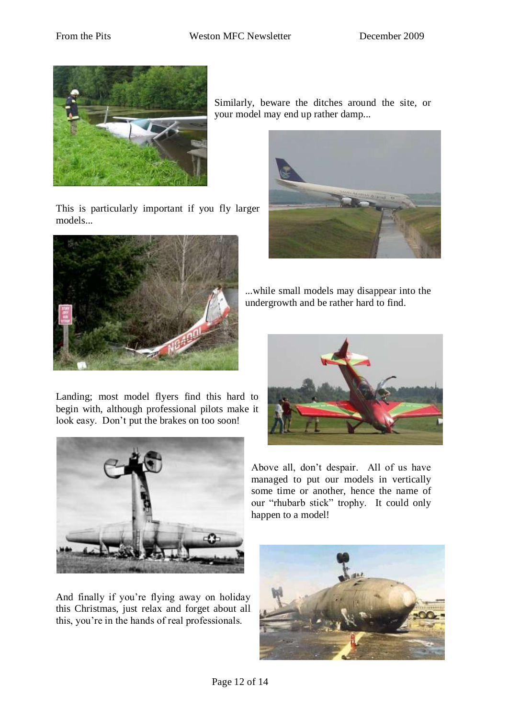

This is particularly important if you fly larger models...



Landing; most model flyers find this hard to begin with, although professional pilots make it look easy. Don't put the brakes on too soon!



And finally if you're flying away on holiday this Christmas, just relax and forget about all this, you're in the hands of real professionals.

Similarly, beware the ditches around the site, or your model may end up rather damp...



...while small models may disappear into the undergrowth and be rather hard to find.



Above all, don't despair. All of us have managed to put our models in vertically some time or another, hence the name of our "rhubarb stick" trophy. It could only happen to a model!

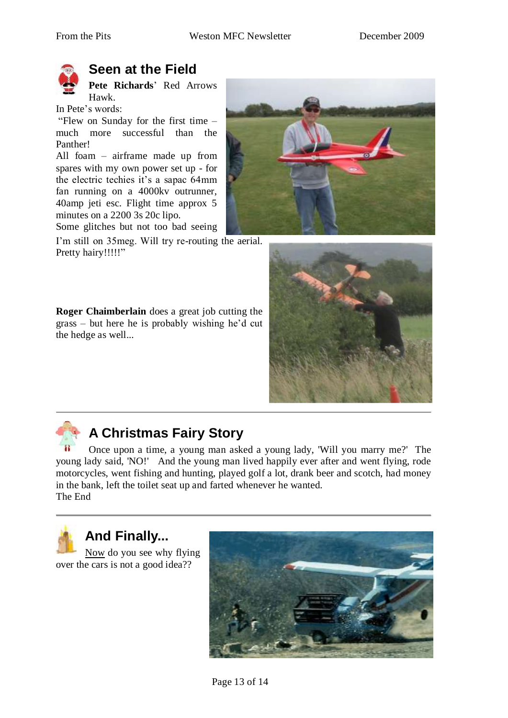

# **Seen at the Field**

**Pete Richards**' Red Arrows Hawk.

In Pete's words:

"Flew on Sunday for the first time  $$ much more successful than the Panther!

All foam – airframe made up from spares with my own power set up - for the electric techies it's a sapac 64mm fan running on a 4000kv outrunner, 40amp jeti esc. Flight time approx 5 minutes on a 2200 3s 20c lipo.

Some glitches but not too bad seeing

I'm still on 35meg. Will try re-routing the aerial. Pretty hairy!!!!!"

**Roger Chaimberlain** does a great job cutting the grass – but here he is probably wishing he'd cut the hedge as well...







# **A Christmas Fairy Story**

Once upon a time, a young man asked a young lady, 'Will you marry me?' The young lady said, 'NO!' And the young man lived happily ever after and went flying, rode motorcycles, went fishing and hunting, played golf a lot, drank beer and scotch, had money in the bank, left the toilet seat up and farted whenever he wanted. The End



# **And Finally...**

Now do you see why flying over the cars is not a good idea??